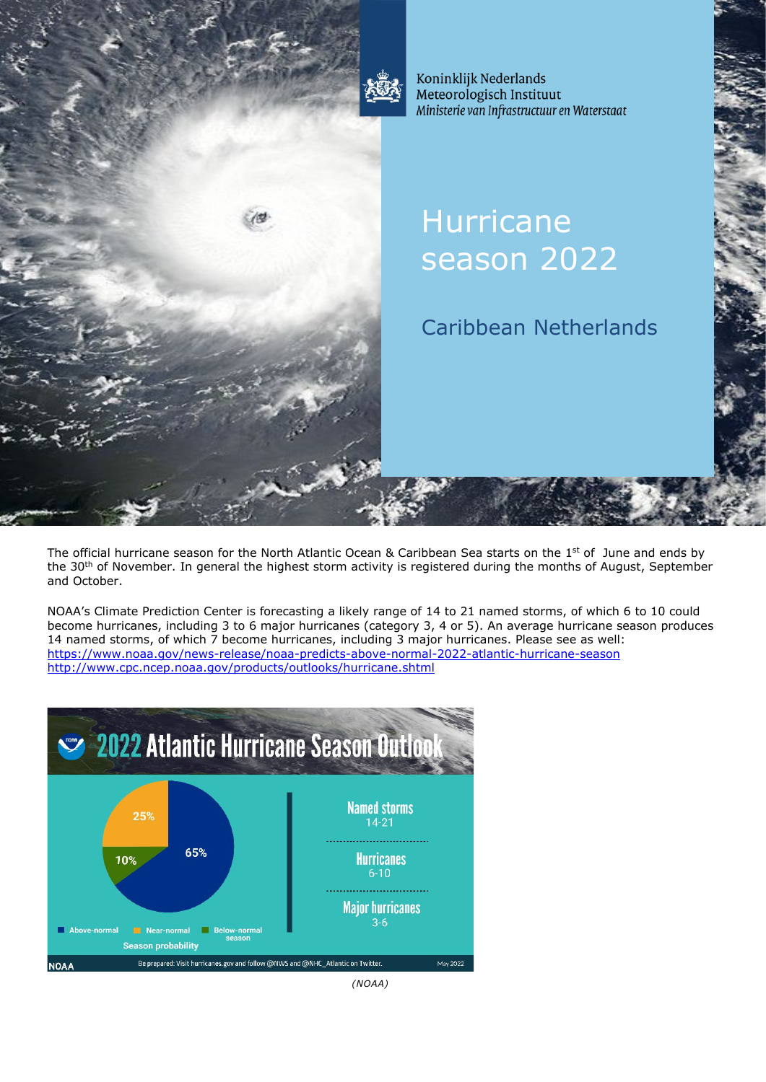

Koninklijk Nederlands Meteorologisch Instituut Ministerie van Infrastructuur en Waterstaat

# **Hurricane** season 2022

Caribbean Netherlands

The official hurricane season for the North Atlantic Ocean & Caribbean Sea starts on the 1<sup>st</sup> of June and ends by the 30<sup>th</sup> of November. In general the highest storm activity is registered during the months of August, September and October.

NOAA's Climate Prediction Center is forecasting a likely range of 14 to 21 named storms, of which 6 to 10 could become hurricanes, including 3 to 6 major hurricanes (category 3, 4 or 5). An average hurricane season produces 14 named storms, of which 7 become hurricanes, including 3 major hurricanes. Please see as well: <https://www.noaa.gov/news-release/noaa-predicts-above-normal-2022-atlantic-hurricane-season> <http://www.cpc.ncep.noaa.gov/products/outlooks/hurricane.shtml>

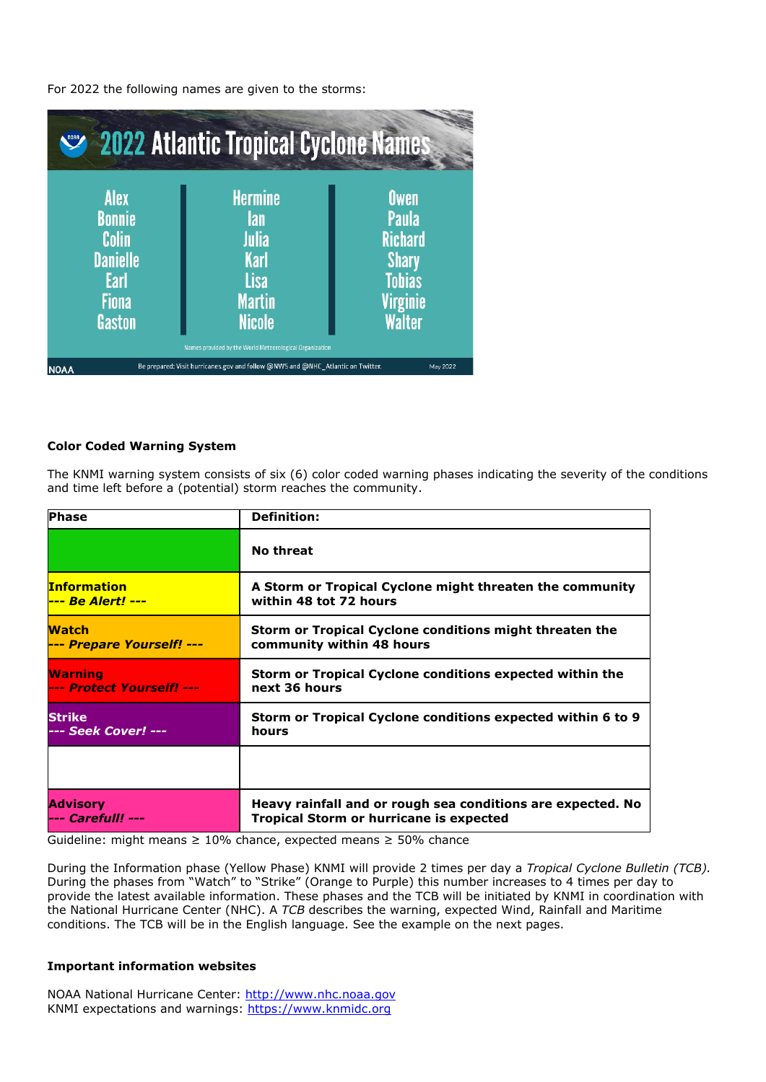For 2022 the following names are given to the storms:



## **Color Coded Warning System**

The KNMI warning system consists of six (6) color coded warning phases indicating the severity of the conditions and time left before a (potential) storm reaches the community.

| <b>Phase</b>                   | <b>Definition:</b>                                          |
|--------------------------------|-------------------------------------------------------------|
|                                | No threat                                                   |
| <b>Information</b>             | A Storm or Tropical Cyclone might threaten the community    |
| <mark>--- Be Alert! ---</mark> | within 48 tot 72 hours                                      |
| <b>Watch</b>                   | Storm or Tropical Cyclone conditions might threaten the     |
| --- Prepare Yourself! ---      | community within 48 hours                                   |
| Warning                        | Storm or Tropical Cyclone conditions expected within the    |
| --- Protect Yourself! ---      | next 36 hours                                               |
| Strike                         | Storm or Tropical Cyclone conditions expected within 6 to 9 |
| --- Seek Cover! ---            | hours                                                       |
|                                |                                                             |
| Advisory                       | Heavy rainfall and or rough sea conditions are expected. No |
| --- Carefull! ---              | <b>Tropical Storm or hurricane is expected</b>              |

Guideline: might means ≥ 10% chance, expected means ≥ 50% chance

During the Information phase (Yellow Phase) KNMI will provide 2 times per day a *Tropical Cyclone Bulletin (TCB).* During the phases from "Watch" to "Strike" (Orange to Purple) this number increases to 4 times per day to provide the latest available information. These phases and the TCB will be initiated by KNMI in coordination with the National Hurricane Center (NHC). A *TCB* describes the warning, expected Wind, Rainfall and Maritime conditions. The TCB will be in the English language. See the example on the next pages.

## **Important information websites**

NOAA National Hurricane Center: [http://www.nhc.noaa.gov](http://www.nhc.noaa.gov/)  KNMI expectations and warnings: [https://www.knmidc.org](https://www.knmidc.org/)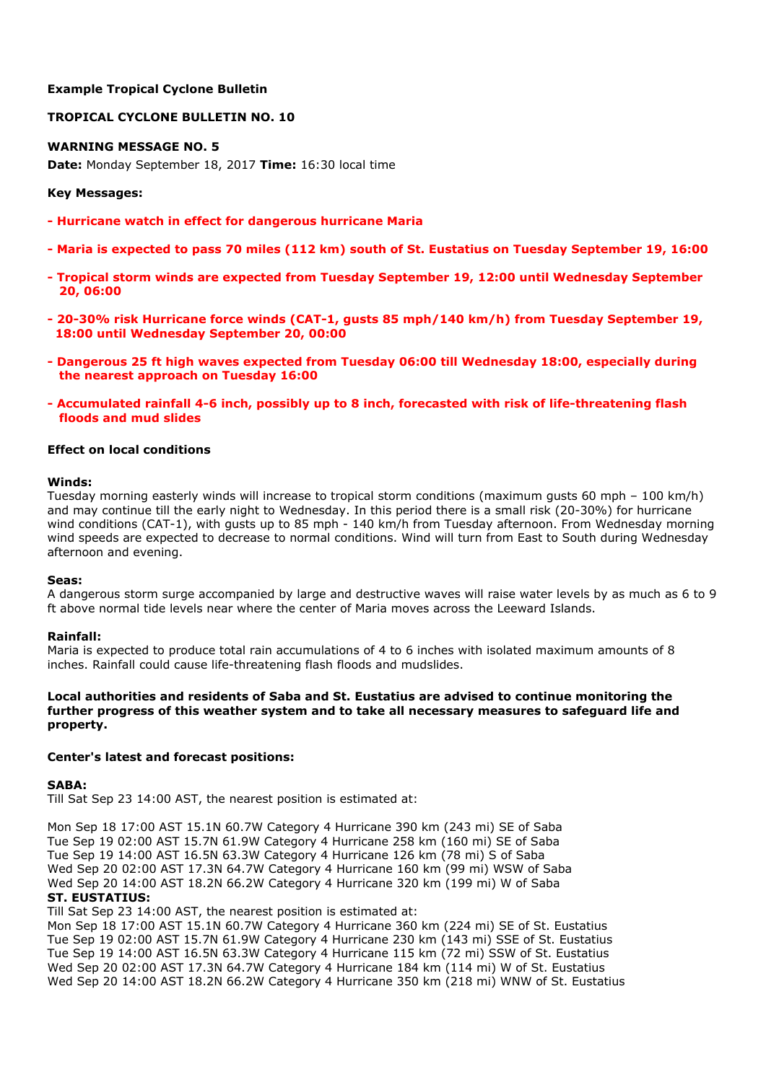## **Example Tropical Cyclone Bulletin**

## **TROPICAL CYCLONE BULLETIN NO. 10**

## **WARNING MESSAGE NO. 5**

**Date:** Monday September 18, 2017 **Time:** 16:30 local time

## **Key Messages:**

- **- Hurricane watch in effect for dangerous hurricane Maria**
- **- Maria is expected to pass 70 miles (112 km) south of St. Eustatius on Tuesday September 19, 16:00**
- **- Tropical storm winds are expected from Tuesday September 19, 12:00 until Wednesday September 20, 06:00**
- **- 20-30% risk Hurricane force winds (CAT-1, gusts 85 mph/140 km/h) from Tuesday September 19, 18:00 until Wednesday September 20, 00:00**
- **- Dangerous 25 ft high waves expected from Tuesday 06:00 till Wednesday 18:00, especially during the nearest approach on Tuesday 16:00**
- **- Accumulated rainfall 4-6 inch, possibly up to 8 inch, forecasted with risk of life-threatening flash floods and mud slides**

## **Effect on local conditions**

#### **Winds:**

Tuesday morning easterly winds will increase to tropical storm conditions (maximum gusts 60 mph – 100 km/h) and may continue till the early night to Wednesday. In this period there is a small risk (20-30%) for hurricane wind conditions (CAT-1), with gusts up to 85 mph - 140 km/h from Tuesday afternoon. From Wednesday morning wind speeds are expected to decrease to normal conditions. Wind will turn from East to South during Wednesday afternoon and evening.

#### **Seas:**

A dangerous storm surge accompanied by large and destructive waves will raise water levels by as much as 6 to 9 ft above normal tide levels near where the center of Maria moves across the Leeward Islands.

#### **Rainfall:**

Maria is expected to produce total rain accumulations of 4 to 6 inches with isolated maximum amounts of 8 inches. Rainfall could cause life-threatening flash floods and mudslides.

## **Local authorities and residents of Saba and St. Eustatius are advised to continue monitoring the further progress of this weather system and to take all necessary measures to safeguard life and property.**

#### **Center's latest and forecast positions:**

#### **SABA:**

Till Sat Sep 23 14:00 AST, the nearest position is estimated at:

Mon Sep 18 17:00 AST 15.1N 60.7W Category 4 Hurricane 390 km (243 mi) SE of Saba Tue Sep 19 02:00 AST 15.7N 61.9W Category 4 Hurricane 258 km (160 mi) SE of Saba Tue Sep 19 14:00 AST 16.5N 63.3W Category 4 Hurricane 126 km (78 mi) S of Saba Wed Sep 20 02:00 AST 17.3N 64.7W Category 4 Hurricane 160 km (99 mi) WSW of Saba Wed Sep 20 14:00 AST 18.2N 66.2W Category 4 Hurricane 320 km (199 mi) W of Saba

#### **ST. EUSTATIUS:**

Till Sat Sep 23 14:00 AST, the nearest position is estimated at:

Mon Sep 18 17:00 AST 15.1N 60.7W Category 4 Hurricane 360 km (224 mi) SE of St. Eustatius Tue Sep 19 02:00 AST 15.7N 61.9W Category 4 Hurricane 230 km (143 mi) SSE of St. Eustatius Tue Sep 19 14:00 AST 16.5N 63.3W Category 4 Hurricane 115 km (72 mi) SSW of St. Eustatius Wed Sep 20 02:00 AST 17.3N 64.7W Category 4 Hurricane 184 km (114 mi) W of St. Eustatius Wed Sep 20 14:00 AST 18.2N 66.2W Category 4 Hurricane 350 km (218 mi) WNW of St. Eustatius